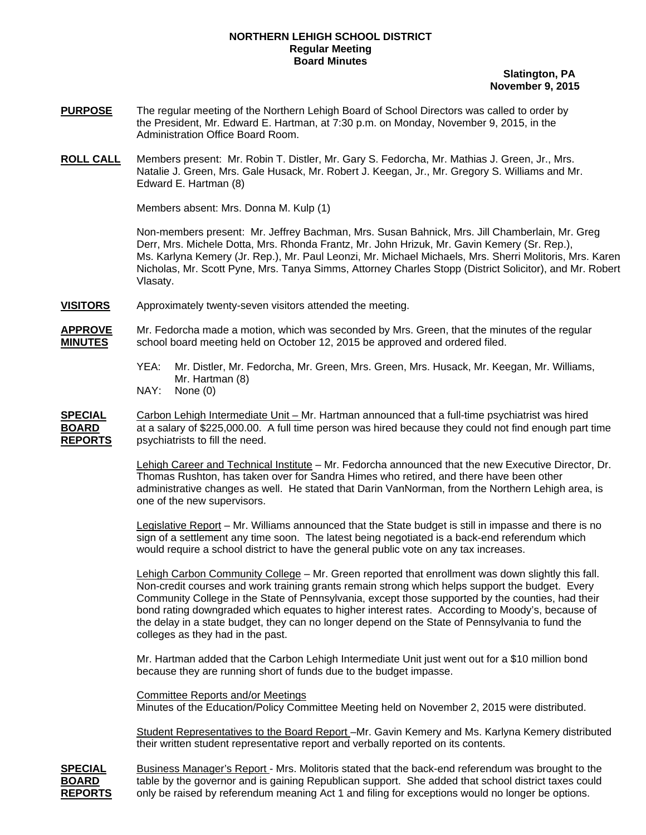## **NORTHERN LEHIGH SCHOOL DISTRICT Regular Meeting Board Minutes**

 **Slatington, PA November 9, 2015** 

- **PURPOSE** The regular meeting of the Northern Lehigh Board of School Directors was called to order by the President, Mr. Edward E. Hartman, at 7:30 p.m. on Monday, November 9, 2015, in the Administration Office Board Room.
- **ROLL CALL** Members present: Mr. Robin T. Distler, Mr. Gary S. Fedorcha, Mr. Mathias J. Green, Jr., Mrs. Natalie J. Green, Mrs. Gale Husack, Mr. Robert J. Keegan, Jr., Mr. Gregory S. Williams and Mr. Edward E. Hartman (8)

Members absent: Mrs. Donna M. Kulp (1)

Non-members present: Mr. Jeffrey Bachman, Mrs. Susan Bahnick, Mrs. Jill Chamberlain, Mr. Greg Derr, Mrs. Michele Dotta, Mrs. Rhonda Frantz, Mr. John Hrizuk, Mr. Gavin Kemery (Sr. Rep.), Ms. Karlyna Kemery (Jr. Rep.), Mr. Paul Leonzi, Mr. Michael Michaels, Mrs. Sherri Molitoris, Mrs. Karen Nicholas, Mr. Scott Pyne, Mrs. Tanya Simms, Attorney Charles Stopp (District Solicitor), and Mr. Robert Vlasaty.

**VISITORS** Approximately twenty-seven visitors attended the meeting.

**APPROVE** Mr. Fedorcha made a motion, which was seconded by Mrs. Green, that the minutes of the regular **MINUTES** school board meeting held on October 12, 2015 be approved and ordered filed.

- YEA: Mr. Distler, Mr. Fedorcha, Mr. Green, Mrs. Green, Mrs. Husack, Mr. Keegan, Mr. Williams, Mr. Hartman (8)
- NAY: None (0)

**SPECIAL** Carbon Lehigh Intermediate Unit – Mr. Hartman announced that a full-time psychiatrist was hired **BOARD** at a salary of \$225,000.00. A full time person was hired because they could not find enough part time **REPORTS** psychiatrists to fill the need.

> Lehigh Career and Technical Institute – Mr. Fedorcha announced that the new Executive Director, Dr. Thomas Rushton, has taken over for Sandra Himes who retired, and there have been other administrative changes as well. He stated that Darin VanNorman, from the Northern Lehigh area, is one of the new supervisors.

 Legislative Report – Mr. Williams announced that the State budget is still in impasse and there is no sign of a settlement any time soon. The latest being negotiated is a back-end referendum which would require a school district to have the general public vote on any tax increases.

 Lehigh Carbon Community College – Mr. Green reported that enrollment was down slightly this fall. Non-credit courses and work training grants remain strong which helps support the budget. Every Community College in the State of Pennsylvania, except those supported by the counties, had their bond rating downgraded which equates to higher interest rates. According to Moody's, because of the delay in a state budget, they can no longer depend on the State of Pennsylvania to fund the colleges as they had in the past.

 Mr. Hartman added that the Carbon Lehigh Intermediate Unit just went out for a \$10 million bond because they are running short of funds due to the budget impasse.

 Committee Reports and/or Meetings Minutes of the Education/Policy Committee Meeting held on November 2, 2015 were distributed.

 Student Representatives to the Board Report –Mr. Gavin Kemery and Ms. Karlyna Kemery distributed their written student representative report and verbally reported on its contents.



**SPECIAL** Business Manager's Report - Mrs. Molitoris stated that the back-end referendum was brought to the **BOARD** table by the governor and is gaining Republican support. She added that school district taxes could **REPORTS** only be raised by referendum meaning Act 1 and filing for exceptions would no longer be options.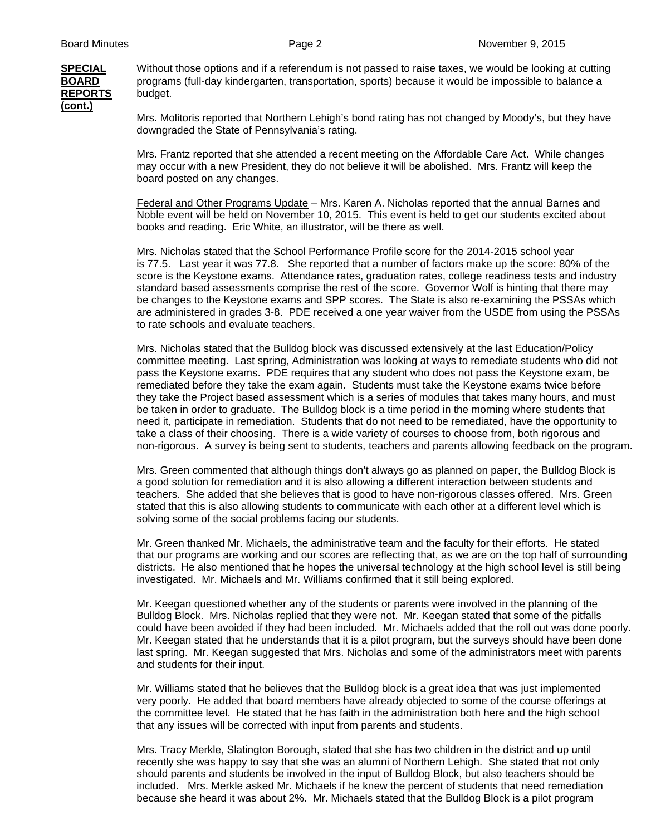**REPORTS** budget. **(cont.)**

**SPECIAL** Without those options and if a referendum is not passed to raise taxes, we would be looking at cutting **BOARD** programs (full-day kindergarten, transportation, sports) because it would be impossible to balance a

> Mrs. Molitoris reported that Northern Lehigh's bond rating has not changed by Moody's, but they have downgraded the State of Pennsylvania's rating.

 Mrs. Frantz reported that she attended a recent meeting on the Affordable Care Act. While changes may occur with a new President, they do not believe it will be abolished. Mrs. Frantz will keep the board posted on any changes.

Federal and Other Programs Update – Mrs. Karen A. Nicholas reported that the annual Barnes and Noble event will be held on November 10, 2015. This event is held to get our students excited about books and reading. Eric White, an illustrator, will be there as well.

Mrs. Nicholas stated that the School Performance Profile score for the 2014-2015 school year is 77.5. Last year it was 77.8. She reported that a number of factors make up the score: 80% of the score is the Keystone exams. Attendance rates, graduation rates, college readiness tests and industry standard based assessments comprise the rest of the score. Governor Wolf is hinting that there may be changes to the Keystone exams and SPP scores. The State is also re-examining the PSSAs which are administered in grades 3-8. PDE received a one year waiver from the USDE from using the PSSAs to rate schools and evaluate teachers.

Mrs. Nicholas stated that the Bulldog block was discussed extensively at the last Education/Policy committee meeting. Last spring, Administration was looking at ways to remediate students who did not pass the Keystone exams. PDE requires that any student who does not pass the Keystone exam, be remediated before they take the exam again. Students must take the Keystone exams twice before they take the Project based assessment which is a series of modules that takes many hours, and must be taken in order to graduate. The Bulldog block is a time period in the morning where students that need it, participate in remediation. Students that do not need to be remediated, have the opportunity to take a class of their choosing. There is a wide variety of courses to choose from, both rigorous and non-rigorous. A survey is being sent to students, teachers and parents allowing feedback on the program.

Mrs. Green commented that although things don't always go as planned on paper, the Bulldog Block is a good solution for remediation and it is also allowing a different interaction between students and teachers. She added that she believes that is good to have non-rigorous classes offered. Mrs. Green stated that this is also allowing students to communicate with each other at a different level which is solving some of the social problems facing our students.

Mr. Green thanked Mr. Michaels, the administrative team and the faculty for their efforts. He stated that our programs are working and our scores are reflecting that, as we are on the top half of surrounding districts. He also mentioned that he hopes the universal technology at the high school level is still being investigated. Mr. Michaels and Mr. Williams confirmed that it still being explored.

Mr. Keegan questioned whether any of the students or parents were involved in the planning of the Bulldog Block. Mrs. Nicholas replied that they were not. Mr. Keegan stated that some of the pitfalls could have been avoided if they had been included. Mr. Michaels added that the roll out was done poorly. Mr. Keegan stated that he understands that it is a pilot program, but the surveys should have been done last spring. Mr. Keegan suggested that Mrs. Nicholas and some of the administrators meet with parents and students for their input.

Mr. Williams stated that he believes that the Bulldog block is a great idea that was just implemented very poorly. He added that board members have already objected to some of the course offerings at the committee level. He stated that he has faith in the administration both here and the high school that any issues will be corrected with input from parents and students.

 Mrs. Tracy Merkle, Slatington Borough, stated that she has two children in the district and up until recently she was happy to say that she was an alumni of Northern Lehigh. She stated that not only should parents and students be involved in the input of Bulldog Block, but also teachers should be included. Mrs. Merkle asked Mr. Michaels if he knew the percent of students that need remediation because she heard it was about 2%. Mr. Michaels stated that the Bulldog Block is a pilot program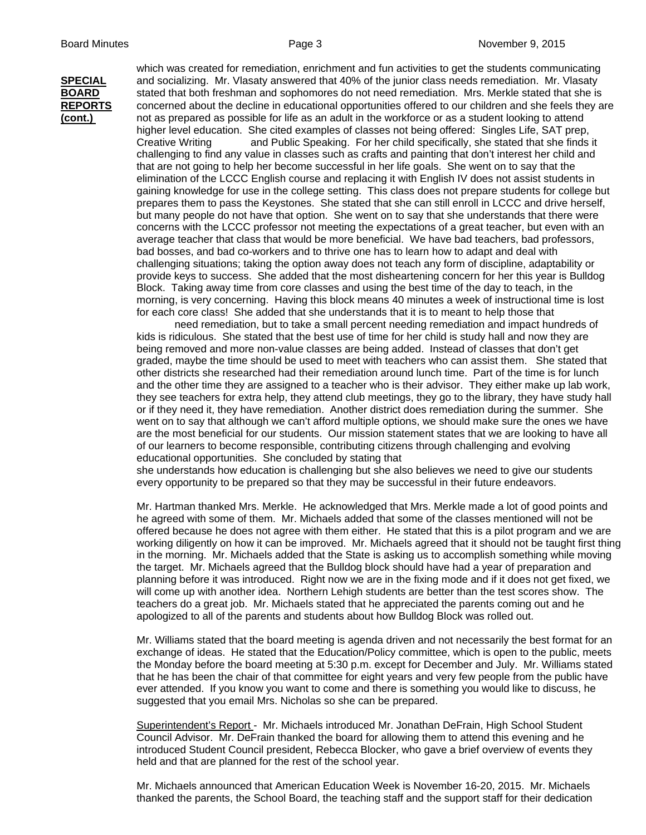which was created for remediation, enrichment and fun activities to get the students communicating **SPECIAL** and socializing. Mr. Vlasaty answered that 40% of the junior class needs remediation. Mr. Vlasaty **BOARD** stated that both freshman and sophomores do not need remediation. Mrs. Merkle stated that she is **REPORTS** concerned about the decline in educational opportunities offered to our children and she feels they are **(cont.)** not as prepared as possible for life as an adult in the workforce or as a student looking to attend higher level education. She cited examples of classes not being offered: Singles Life, SAT prep, Creative Writing and Public Speaking. For her child specifically, she stated that she finds it challenging to find any value in classes such as crafts and painting that don't interest her child and that are not going to help her become successful in her life goals. She went on to say that the elimination of the LCCC English course and replacing it with English IV does not assist students in gaining knowledge for use in the college setting. This class does not prepare students for college but prepares them to pass the Keystones. She stated that she can still enroll in LCCC and drive herself, but many people do not have that option. She went on to say that she understands that there were concerns with the LCCC professor not meeting the expectations of a great teacher, but even with an average teacher that class that would be more beneficial. We have bad teachers, bad professors, bad bosses, and bad co-workers and to thrive one has to learn how to adapt and deal with challenging situations; taking the option away does not teach any form of discipline, adaptability or provide keys to success. She added that the most disheartening concern for her this year is Bulldog Block. Taking away time from core classes and using the best time of the day to teach, in the morning, is very concerning. Having this block means 40 minutes a week of instructional time is lost for each core class! She added that she understands that it is to meant to help those that

> need remediation, but to take a small percent needing remediation and impact hundreds of kids is ridiculous. She stated that the best use of time for her child is study hall and now they are being removed and more non-value classes are being added. Instead of classes that don't get graded, maybe the time should be used to meet with teachers who can assist them. She stated that other districts she researched had their remediation around lunch time. Part of the time is for lunch and the other time they are assigned to a teacher who is their advisor. They either make up lab work, they see teachers for extra help, they attend club meetings, they go to the library, they have study hall or if they need it, they have remediation. Another district does remediation during the summer. She went on to say that although we can't afford multiple options, we should make sure the ones we have are the most beneficial for our students. Our mission statement states that we are looking to have all of our learners to become responsible, contributing citizens through challenging and evolving educational opportunities. She concluded by stating that

 she understands how education is challenging but she also believes we need to give our students every opportunity to be prepared so that they may be successful in their future endeavors.

Mr. Hartman thanked Mrs. Merkle. He acknowledged that Mrs. Merkle made a lot of good points and he agreed with some of them. Mr. Michaels added that some of the classes mentioned will not be offered because he does not agree with them either. He stated that this is a pilot program and we are working diligently on how it can be improved. Mr. Michaels agreed that it should not be taught first thing in the morning. Mr. Michaels added that the State is asking us to accomplish something while moving the target. Mr. Michaels agreed that the Bulldog block should have had a year of preparation and planning before it was introduced. Right now we are in the fixing mode and if it does not get fixed, we will come up with another idea. Northern Lehigh students are better than the test scores show. The teachers do a great job. Mr. Michaels stated that he appreciated the parents coming out and he apologized to all of the parents and students about how Bulldog Block was rolled out.

Mr. Williams stated that the board meeting is agenda driven and not necessarily the best format for an exchange of ideas. He stated that the Education/Policy committee, which is open to the public, meets the Monday before the board meeting at 5:30 p.m. except for December and July. Mr. Williams stated that he has been the chair of that committee for eight years and very few people from the public have ever attended. If you know you want to come and there is something you would like to discuss, he suggested that you email Mrs. Nicholas so she can be prepared.

 Superintendent's Report - Mr. Michaels introduced Mr. Jonathan DeFrain, High School Student Council Advisor. Mr. DeFrain thanked the board for allowing them to attend this evening and he introduced Student Council president, Rebecca Blocker, who gave a brief overview of events they held and that are planned for the rest of the school year.

 Mr. Michaels announced that American Education Week is November 16-20, 2015. Mr. Michaels thanked the parents, the School Board, the teaching staff and the support staff for their dedication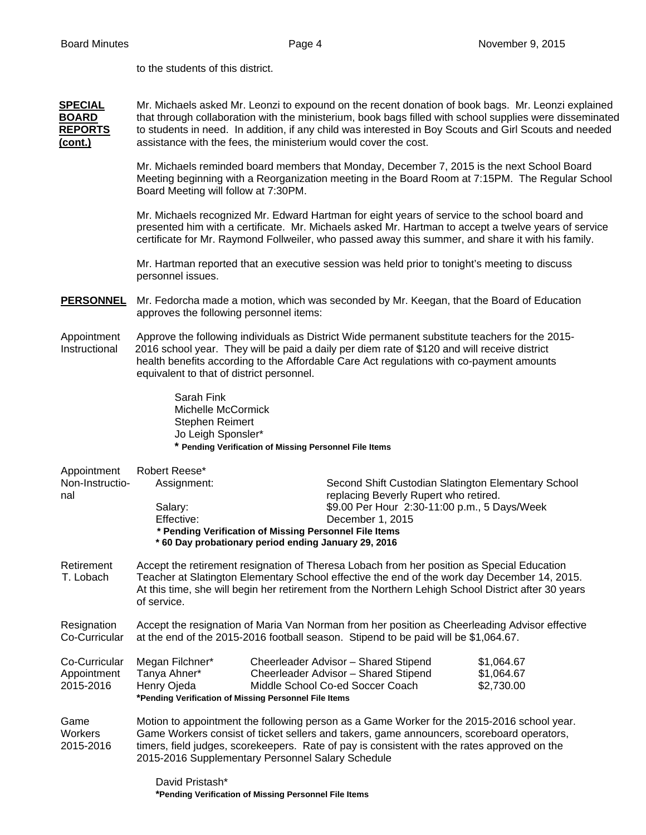to the students of this district.

**SPECIAL** Mr. Michaels asked Mr. Leonzi to expound on the recent donation of book bags. Mr. Leonzi explained **BOARD** that through collaboration with the ministerium, book bags filled with school supplies were disseminated **REPORTS** to students in need. In addition, if any child was interested in Boy Scouts and Girl Scouts and needed **(cont.)** assistance with the fees, the ministerium would cover the cost.

> Mr. Michaels reminded board members that Monday, December 7, 2015 is the next School Board Meeting beginning with a Reorganization meeting in the Board Room at 7:15PM. The Regular School Board Meeting will follow at 7:30PM.

> Mr. Michaels recognized Mr. Edward Hartman for eight years of service to the school board and presented him with a certificate. Mr. Michaels asked Mr. Hartman to accept a twelve years of service certificate for Mr. Raymond Follweiler, who passed away this summer, and share it with his family.

Mr. Hartman reported that an executive session was held prior to tonight's meeting to discuss personnel issues.

- **PERSONNEL** Mr. Fedorcha made a motion, which was seconded by Mr. Keegan, that the Board of Education approves the following personnel items:
- Appointment Approve the following individuals as District Wide permanent substitute teachers for the 2015- Instructional 2016 school year. They will be paid a daily per diem rate of \$120 and will receive district health benefits according to the Affordable Care Act regulations with co-payment amounts equivalent to that of district personnel.

 Sarah Fink Michelle McCormick Stephen Reimert Jo Leigh Sponsler\* **\* Pending Verification of Missing Personnel File Items**

| Appointment                  | Robert Reese*                                                                                                                                                                                                                                                                                                                                |  |                                                                                                                                                                  |            |  |  |
|------------------------------|----------------------------------------------------------------------------------------------------------------------------------------------------------------------------------------------------------------------------------------------------------------------------------------------------------------------------------------------|--|------------------------------------------------------------------------------------------------------------------------------------------------------------------|------------|--|--|
| Non-Instructio-              | Assignment:                                                                                                                                                                                                                                                                                                                                  |  | Second Shift Custodian Slatington Elementary School<br>replacing Beverly Rupert who retired.<br>\$9.00 Per Hour 2:30-11:00 p.m., 5 Days/Week<br>December 1, 2015 |            |  |  |
| nal                          | Salary:<br>Effective:                                                                                                                                                                                                                                                                                                                        |  |                                                                                                                                                                  |            |  |  |
|                              |                                                                                                                                                                                                                                                                                                                                              |  |                                                                                                                                                                  |            |  |  |
|                              | * Pending Verification of Missing Personnel File Items                                                                                                                                                                                                                                                                                       |  |                                                                                                                                                                  |            |  |  |
|                              | *60 Day probationary period ending January 29, 2016                                                                                                                                                                                                                                                                                          |  |                                                                                                                                                                  |            |  |  |
| Retirement<br>T. Lobach      | Accept the retirement resignation of Theresa Lobach from her position as Special Education<br>Teacher at Slatington Elementary School effective the end of the work day December 14, 2015.<br>At this time, she will begin her retirement from the Northern Lehigh School District after 30 years<br>of service.                             |  |                                                                                                                                                                  |            |  |  |
| Resignation<br>Co-Curricular | Accept the resignation of Maria Van Norman from her position as Cheerleading Advisor effective<br>at the end of the 2015-2016 football season. Stipend to be paid will be \$1,064.67.                                                                                                                                                        |  |                                                                                                                                                                  |            |  |  |
| Co-Curricular                | Megan Filchner*                                                                                                                                                                                                                                                                                                                              |  | Cheerleader Advisor - Shared Stipend                                                                                                                             | \$1,064.67 |  |  |
| Appointment                  | Tanya Ahner*                                                                                                                                                                                                                                                                                                                                 |  | Cheerleader Advisor - Shared Stipend                                                                                                                             | \$1,064.67 |  |  |
| 2015-2016                    | Henry Ojeda                                                                                                                                                                                                                                                                                                                                  |  | Middle School Co-ed Soccer Coach                                                                                                                                 | \$2,730.00 |  |  |
|                              | *Pending Verification of Missing Personnel File Items                                                                                                                                                                                                                                                                                        |  |                                                                                                                                                                  |            |  |  |
| Game<br>Workers<br>2015-2016 | Motion to appointment the following person as a Game Worker for the 2015-2016 school year.<br>Game Workers consist of ticket sellers and takers, game announcers, scoreboard operators,<br>timers, field judges, scorekeepers. Rate of pay is consistent with the rates approved on the<br>2015-2016 Supplementary Personnel Salary Schedule |  |                                                                                                                                                                  |            |  |  |
|                              | David Pristash*                                                                                                                                                                                                                                                                                                                              |  |                                                                                                                                                                  |            |  |  |
|                              | *Pending Verification of Missing Personnel File Items                                                                                                                                                                                                                                                                                        |  |                                                                                                                                                                  |            |  |  |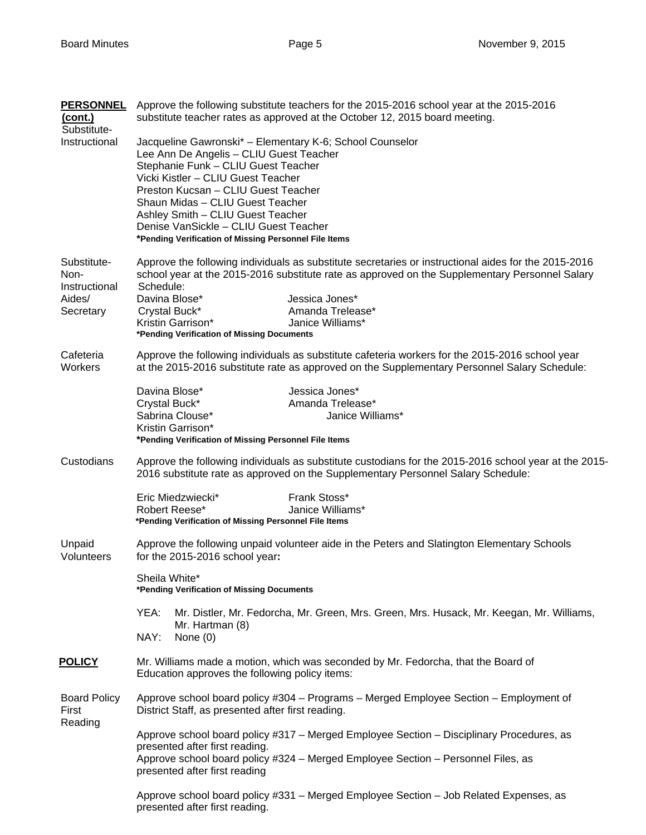| <b>PERSONNEL</b><br><u>(cont.)</u><br>Substitute-           | Approve the following substitute teachers for the 2015-2016 school year at the 2015-2016<br>substitute teacher rates as approved at the October 12, 2015 board meeting.                                                                                                                                                                                                                            |  |  |  |  |
|-------------------------------------------------------------|----------------------------------------------------------------------------------------------------------------------------------------------------------------------------------------------------------------------------------------------------------------------------------------------------------------------------------------------------------------------------------------------------|--|--|--|--|
| Instructional                                               | Jacqueline Gawronski* - Elementary K-6; School Counselor<br>Lee Ann De Angelis - CLIU Guest Teacher<br>Stephanie Funk - CLIU Guest Teacher<br>Vicki Kistler - CLIU Guest Teacher<br>Preston Kucsan - CLIU Guest Teacher<br>Shaun Midas - CLIU Guest Teacher<br>Ashley Smith - CLIU Guest Teacher<br>Denise VanSickle - CLIU Guest Teacher<br>*Pending Verification of Missing Personnel File Items |  |  |  |  |
| Substitute-<br>Non-<br>Instructional<br>Aides/<br>Secretary | Approve the following individuals as substitute secretaries or instructional aides for the 2015-2016<br>school year at the 2015-2016 substitute rate as approved on the Supplementary Personnel Salary<br>Schedule:<br>Davina Blose*<br>Jessica Jones*<br>Amanda Trelease*<br>Crystal Buck*<br>Kristin Garrison*<br>Janice Williams*<br>*Pending Verification of Missing Documents                 |  |  |  |  |
| Cafeteria<br>Workers                                        | Approve the following individuals as substitute cafeteria workers for the 2015-2016 school year<br>at the 2015-2016 substitute rate as approved on the Supplementary Personnel Salary Schedule:                                                                                                                                                                                                    |  |  |  |  |
|                                                             | Davina Blose*<br>Jessica Jones*<br>Crystal Buck*<br>Amanda Trelease*<br>Sabrina Clouse*<br>Janice Williams*<br>Kristin Garrison*<br>*Pending Verification of Missing Personnel File Items                                                                                                                                                                                                          |  |  |  |  |
| Custodians                                                  | Approve the following individuals as substitute custodians for the 2015-2016 school year at the 2015-<br>2016 substitute rate as approved on the Supplementary Personnel Salary Schedule:                                                                                                                                                                                                          |  |  |  |  |
|                                                             | Frank Stoss*<br>Eric Miedzwiecki*<br>Robert Reese*<br>Janice Williams*<br>*Pending Verification of Missing Personnel File Items                                                                                                                                                                                                                                                                    |  |  |  |  |
| Unpaid<br>Volunteers                                        | Approve the following unpaid volunteer aide in the Peters and Slatington Elementary Schools<br>for the 2015-2016 school year:                                                                                                                                                                                                                                                                      |  |  |  |  |
|                                                             | Sheila White*<br>*Pending Verification of Missing Documents                                                                                                                                                                                                                                                                                                                                        |  |  |  |  |
|                                                             | YEA:<br>Mr. Distler, Mr. Fedorcha, Mr. Green, Mrs. Green, Mrs. Husack, Mr. Keegan, Mr. Williams,<br>Mr. Hartman (8)<br>NAY:<br>None $(0)$                                                                                                                                                                                                                                                          |  |  |  |  |
| <b>POLICY</b>                                               | Mr. Williams made a motion, which was seconded by Mr. Fedorcha, that the Board of<br>Education approves the following policy items:                                                                                                                                                                                                                                                                |  |  |  |  |
| <b>Board Policy</b><br>First<br>Reading                     | Approve school board policy #304 - Programs - Merged Employee Section - Employment of<br>District Staff, as presented after first reading.                                                                                                                                                                                                                                                         |  |  |  |  |
|                                                             | Approve school board policy #317 - Merged Employee Section - Disciplinary Procedures, as<br>presented after first reading.<br>Approve school board policy #324 - Merged Employee Section - Personnel Files, as<br>presented after first reading                                                                                                                                                    |  |  |  |  |
|                                                             | Approve school board policy #331 – Merged Employee Section – Job Related Expenses, as<br>presented after first reading.                                                                                                                                                                                                                                                                            |  |  |  |  |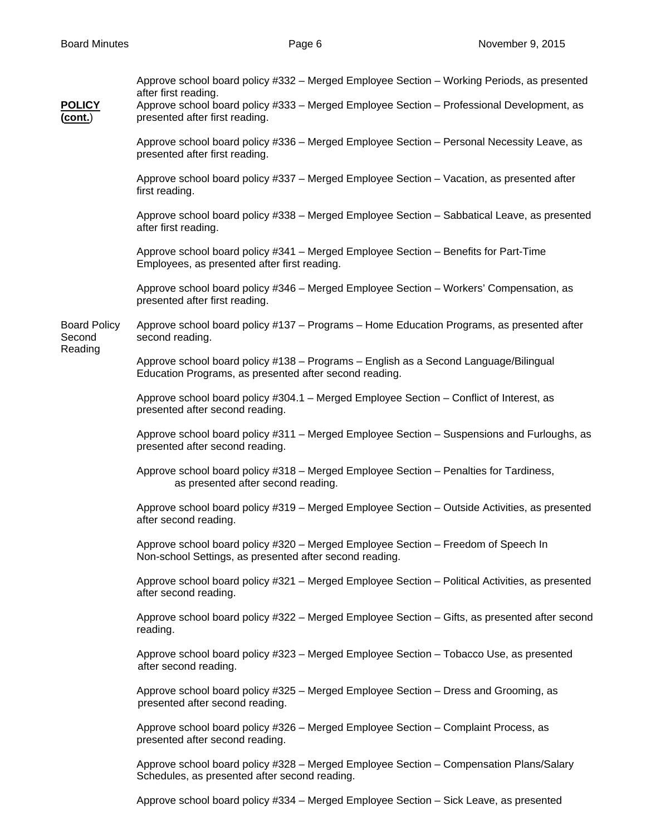| <b>POLICY</b><br>(cont.)                 | Approve school board policy #332 - Merged Employee Section - Working Periods, as presented<br>after first reading.<br>Approve school board policy #333 - Merged Employee Section - Professional Development, as<br>presented after first reading. |
|------------------------------------------|---------------------------------------------------------------------------------------------------------------------------------------------------------------------------------------------------------------------------------------------------|
|                                          | Approve school board policy #336 - Merged Employee Section - Personal Necessity Leave, as<br>presented after first reading.                                                                                                                       |
|                                          | Approve school board policy #337 - Merged Employee Section - Vacation, as presented after<br>first reading.                                                                                                                                       |
|                                          | Approve school board policy #338 - Merged Employee Section - Sabbatical Leave, as presented<br>after first reading.                                                                                                                               |
|                                          | Approve school board policy #341 - Merged Employee Section - Benefits for Part-Time<br>Employees, as presented after first reading.                                                                                                               |
|                                          | Approve school board policy #346 - Merged Employee Section - Workers' Compensation, as<br>presented after first reading.                                                                                                                          |
| <b>Board Policy</b><br>Second<br>Reading | Approve school board policy #137 - Programs - Home Education Programs, as presented after<br>second reading.                                                                                                                                      |
|                                          | Approve school board policy #138 - Programs - English as a Second Language/Bilingual<br>Education Programs, as presented after second reading.                                                                                                    |
|                                          | Approve school board policy #304.1 - Merged Employee Section - Conflict of Interest, as<br>presented after second reading.                                                                                                                        |
|                                          | Approve school board policy #311 – Merged Employee Section – Suspensions and Furloughs, as<br>presented after second reading.                                                                                                                     |
|                                          | Approve school board policy #318 - Merged Employee Section - Penalties for Tardiness,<br>as presented after second reading.                                                                                                                       |
|                                          | Approve school board policy #319 - Merged Employee Section - Outside Activities, as presented<br>after second reading.                                                                                                                            |
|                                          | Approve school board policy #320 - Merged Employee Section - Freedom of Speech In<br>Non-school Settings, as presented after second reading.                                                                                                      |
|                                          | Approve school board policy #321 - Merged Employee Section - Political Activities, as presented<br>after second reading.                                                                                                                          |
|                                          | Approve school board policy #322 - Merged Employee Section - Gifts, as presented after second<br>reading.                                                                                                                                         |
|                                          | Approve school board policy #323 - Merged Employee Section - Tobacco Use, as presented<br>after second reading.                                                                                                                                   |
|                                          | Approve school board policy #325 - Merged Employee Section - Dress and Grooming, as<br>presented after second reading.                                                                                                                            |
|                                          | Approve school board policy #326 - Merged Employee Section - Complaint Process, as<br>presented after second reading.                                                                                                                             |
|                                          | Approve school board policy #328 - Merged Employee Section - Compensation Plans/Salary<br>Schedules, as presented after second reading.                                                                                                           |

Approve school board policy #334 – Merged Employee Section – Sick Leave, as presented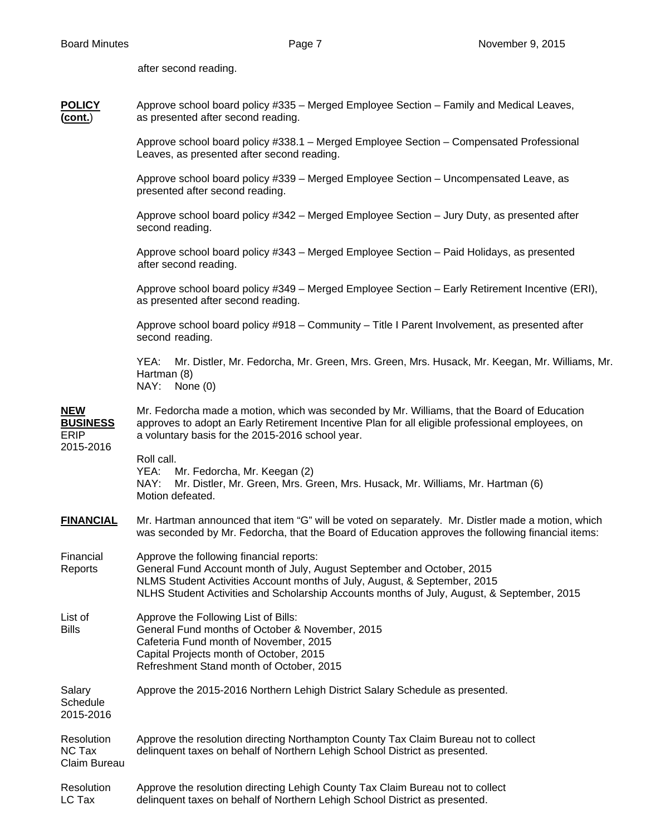2015-2016

**POLICY** Approve school board policy #335 – Merged Employee Section – Family and Medical Leaves,

after second reading.

| (cont.)                                                   | as presented after second reading.                                                                                                                                                                                                                                                            |  |  |  |  |
|-----------------------------------------------------------|-----------------------------------------------------------------------------------------------------------------------------------------------------------------------------------------------------------------------------------------------------------------------------------------------|--|--|--|--|
|                                                           | Approve school board policy #338.1 - Merged Employee Section - Compensated Professional<br>Leaves, as presented after second reading.                                                                                                                                                         |  |  |  |  |
|                                                           | Approve school board policy #339 - Merged Employee Section - Uncompensated Leave, as<br>presented after second reading.                                                                                                                                                                       |  |  |  |  |
|                                                           | Approve school board policy #342 – Merged Employee Section – Jury Duty, as presented after<br>second reading.                                                                                                                                                                                 |  |  |  |  |
|                                                           | Approve school board policy #343 - Merged Employee Section - Paid Holidays, as presented<br>after second reading.                                                                                                                                                                             |  |  |  |  |
|                                                           | Approve school board policy #349 - Merged Employee Section - Early Retirement Incentive (ERI),<br>as presented after second reading.                                                                                                                                                          |  |  |  |  |
|                                                           | Approve school board policy #918 - Community - Title I Parent Involvement, as presented after<br>second reading.                                                                                                                                                                              |  |  |  |  |
|                                                           | Mr. Distler, Mr. Fedorcha, Mr. Green, Mrs. Green, Mrs. Husack, Mr. Keegan, Mr. Williams, Mr.<br>YEA:<br>Hartman (8)<br>NAY: None (0)                                                                                                                                                          |  |  |  |  |
| <b>NEW</b><br><b>BUSINESS</b><br><b>ERIP</b><br>2015-2016 | Mr. Fedorcha made a motion, which was seconded by Mr. Williams, that the Board of Education<br>approves to adopt an Early Retirement Incentive Plan for all eligible professional employees, on<br>a voluntary basis for the 2015-2016 school year.                                           |  |  |  |  |
|                                                           | Roll call.<br>YEA:<br>Mr. Fedorcha, Mr. Keegan (2)<br>NAY:<br>Mr. Distler, Mr. Green, Mrs. Green, Mrs. Husack, Mr. Williams, Mr. Hartman (6)<br>Motion defeated.                                                                                                                              |  |  |  |  |
| <b>FINANCIAL</b>                                          | Mr. Hartman announced that item "G" will be voted on separately. Mr. Distler made a motion, which<br>was seconded by Mr. Fedorcha, that the Board of Education approves the following financial items:                                                                                        |  |  |  |  |
| Financial<br>Reports                                      | Approve the following financial reports:<br>General Fund Account month of July, August September and October, 2015<br>NLMS Student Activities Account months of July, August, & September, 2015<br>NLHS Student Activities and Scholarship Accounts months of July, August, & September, 2015 |  |  |  |  |
| List of<br><b>Bills</b>                                   | Approve the Following List of Bills:<br>General Fund months of October & November, 2015<br>Cafeteria Fund month of November, 2015<br>Capital Projects month of October, 2015<br>Refreshment Stand month of October, 2015                                                                      |  |  |  |  |

Salary Approve the 2015-2016 Northern Lehigh District Salary Schedule as presented. **Schedule** 

Resolution Approve the resolution directing Northampton County Tax Claim Bureau not to collect NC Tax delinquent taxes on behalf of Northern Lehigh School District as presented. Claim Bureau

| Resolution | Approve the resolution directing Lehigh County Tax Claim Bureau not to collect |
|------------|--------------------------------------------------------------------------------|
| LC Tax     | delinquent taxes on behalf of Northern Lehigh School District as presented.    |